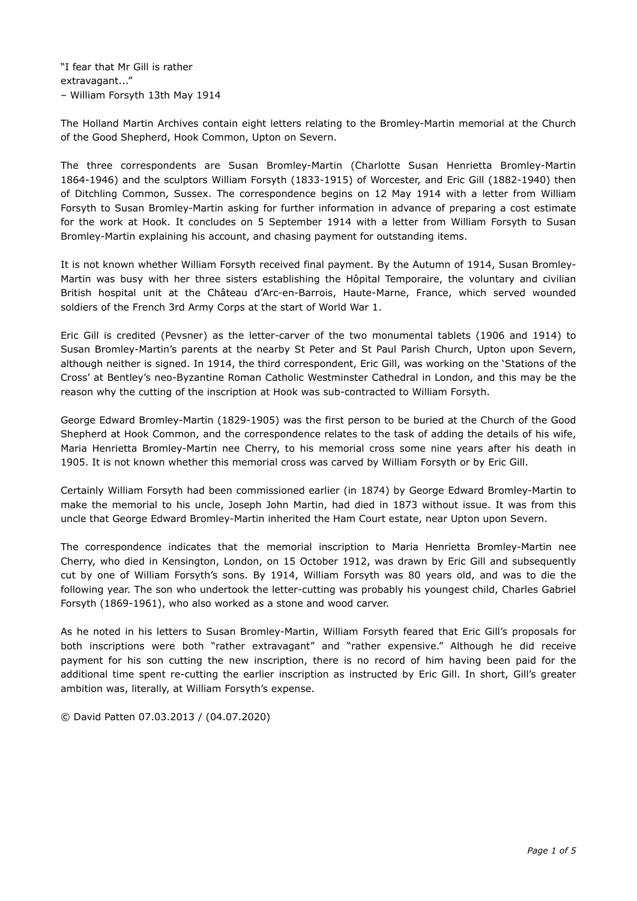The Holland Martin Archives contain eight letters relating to the Bromley-Martin memorial at the Church of the Good Shepherd, Hook Common, Upton on Severn.

The three correspondents are Susan Bromley-Martin (Charlotte Susan Henrietta Bromley-Martin 1864-1946) and the sculptors William Forsyth (1833-1915) of Worcester, and Eric Gill (1882-1940) then of Ditchling Common, Sussex. The correspondence begins on 12 May 1914 with a letter from William Forsyth to Susan Bromley-Martin asking for further information in advance of preparing a cost estimate for the work at Hook. It concludes on 5 September 1914 with a letter from William Forsyth to Susan Bromley-Martin explaining his account, and chasing payment for outstanding items.

It is not known whether William Forsyth received final payment. By the Autumn of 1914, Susan Bromley-Martin was busy with her three sisters establishing the Hôpital Temporaire, the voluntary and civilian British hospital unit at the Château d'Arc-en-Barrois, Haute-Marne, France, which served wounded soldiers of the French 3rd Army Corps at the start of World War 1.

Eric Gill is credited (Pevsner) as the letter-carver of the two monumental tablets (1906 and 1914) to Susan Bromley-Martin's parents at the nearby St Peter and St Paul Parish Church, Upton upon Severn, although neither is signed. In 1914, the third correspondent, Eric Gill, was working on the 'Stations of the Cross' at Bentley's neo-Byzantine Roman Catholic Westminster Cathedral in London, and this may be the reason why the cutting of the inscription at Hook was sub-contracted to William Forsyth.

George Edward Bromley-Martin (1829-1905) was the first person to be buried at the Church of the Good Shepherd at Hook Common, and the correspondence relates to the task of adding the details of his wife, Maria Henrietta Bromley-Martin nee Cherry, to his memorial cross some nine years after his death in 1905. It is not known whether this memorial cross was carved by William Forsyth or by Eric Gill.

Certainly William Forsyth had been commissioned earlier (in 1874) by George Edward Bromley-Martin to make the memorial to his uncle, Joseph John Martin, had died in 1873 without issue. It was from this uncle that George Edward Bromley-Martin inherited the Ham Court estate, near Upton upon Severn.

The correspondence indicates that the memorial inscription to Maria Henrietta Bromley-Martin nee Cherry, who died in Kensington, London, on 15 October 1912, was drawn by Eric Gill and subsequently cut by one of William Forsyth's sons. By 1914, William Forsyth was 80 years old, and was to die the following year. The son who undertook the letter-cutting was probably his youngest child, Charles Gabriel Forsyth (1869-1961), who also worked as a stone and wood carver.

As he noted in his letters to Susan Bromley-Martin, William Forsyth feared that Eric Gill's proposals for both inscriptions were both "rather extravagant" and "rather expensive." Although he did receive payment for his son cutting the new inscription, there is no record of him having been paid for the additional time spent re-cutting the earlier inscription as instructed by Eric Gill. In short, Gill's greater ambition was, literally, at William Forsyth's expense.

© David Patten 07.03.2013 / (04.07.2020)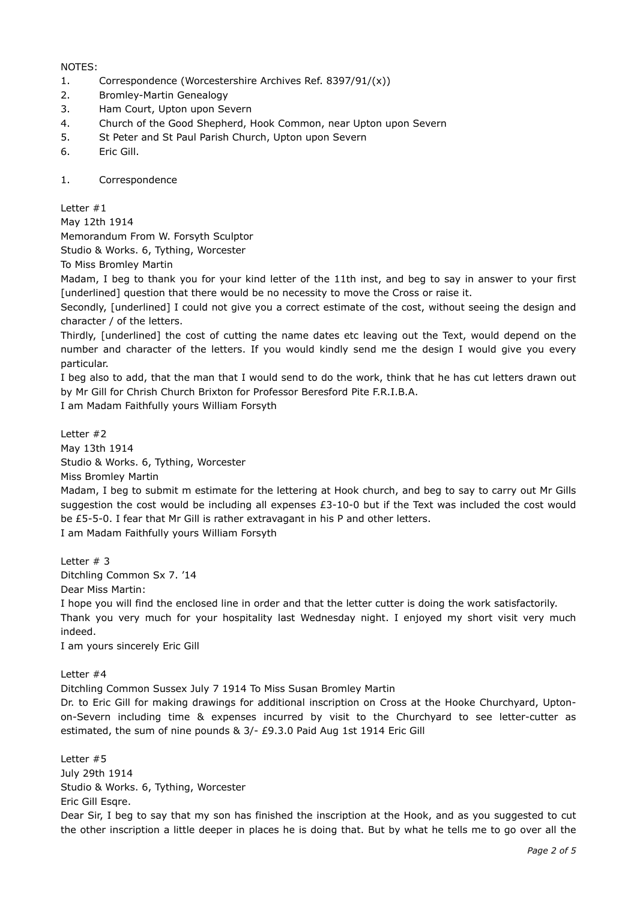#### NOTES:

- 1. Correspondence (Worcestershire Archives Ref. 8397/91/(x))
- 2. Bromley-Martin Genealogy
- 3. Ham Court, Upton upon Severn
- 4. Church of the Good Shepherd, Hook Common, near Upton upon Severn
- 5. St Peter and St Paul Parish Church, Upton upon Severn
- 6. Eric Gill.
- 1. Correspondence

Letter #1

May 12th 1914

Memorandum From W. Forsyth Sculptor

Studio & Works. 6, Tything, Worcester

To Miss Bromley Martin

Madam, I beg to thank you for your kind letter of the 11th inst, and beg to say in answer to your first [underlined] question that there would be no necessity to move the Cross or raise it.

Secondly, [underlined] I could not give you a correct estimate of the cost, without seeing the design and character / of the letters.

Thirdly, [underlined] the cost of cutting the name dates etc leaving out the Text, would depend on the number and character of the letters. If you would kindly send me the design I would give you every particular.

I beg also to add, that the man that I would send to do the work, think that he has cut letters drawn out by Mr Gill for Chrish Church Brixton for Professor Beresford Pite F.R.I.B.A.

I am Madam Faithfully yours William Forsyth

Letter #2 May 13th 1914 Studio & Works. 6, Tything, Worcester Miss Bromley Martin

Madam, I beg to submit m estimate for the lettering at Hook church, and beg to say to carry out Mr Gills suggestion the cost would be including all expenses £3-10-0 but if the Text was included the cost would be £5-5-0. I fear that Mr Gill is rather extravagant in his P and other letters.

I am Madam Faithfully yours William Forsyth

Letter # 3 Ditchling Common Sx 7. '14 Dear Miss Martin:

I hope you will find the enclosed line in order and that the letter cutter is doing the work satisfactorily. Thank you very much for your hospitality last Wednesday night. I enjoyed my short visit very much indeed.

I am yours sincerely Eric Gill

Letter #4

Ditchling Common Sussex July 7 1914 To Miss Susan Bromley Martin

Dr. to Eric Gill for making drawings for additional inscription on Cross at the Hooke Churchyard, Uptonon-Severn including time & expenses incurred by visit to the Churchyard to see letter-cutter as estimated, the sum of nine pounds & 3/- £9.3.0 Paid Aug 1st 1914 Eric Gill

Letter #5 July 29th 1914 Studio & Works. 6, Tything, Worcester Eric Gill Esqre.

Dear Sir, I beg to say that my son has finished the inscription at the Hook, and as you suggested to cut the other inscription a little deeper in places he is doing that. But by what he tells me to go over all the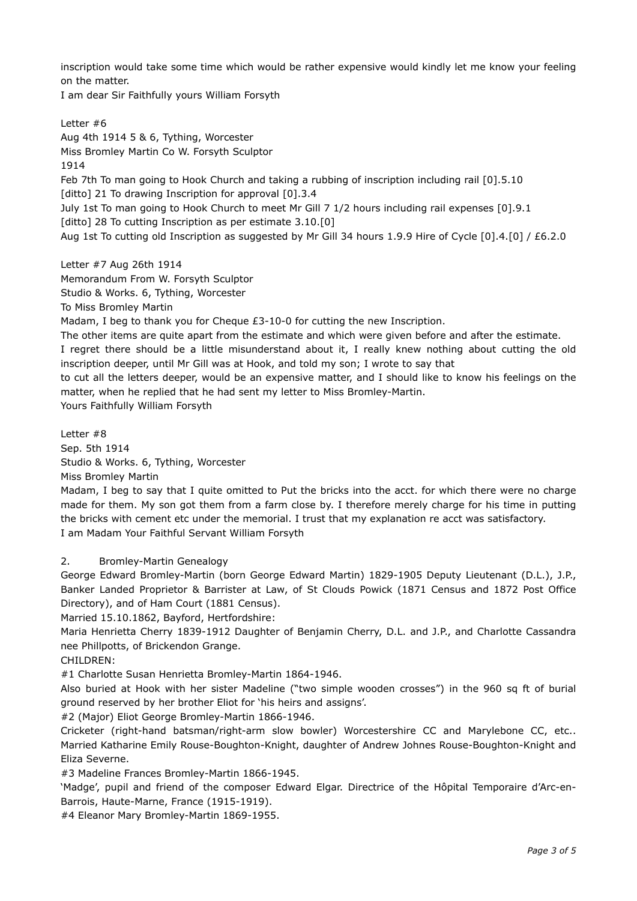inscription would take some time which would be rather expensive would kindly let me know your feeling on the matter.

I am dear Sir Faithfully yours William Forsyth

Letter #6 Aug 4th 1914 5 & 6, Tything, Worcester Miss Bromley Martin Co W. Forsyth Sculptor 1914 Feb 7th To man going to Hook Church and taking a rubbing of inscription including rail [0].5.10 [ditto] 21 To drawing Inscription for approval [0].3.4 July 1st To man going to Hook Church to meet Mr Gill 7 1/2 hours including rail expenses [0].9.1 [ditto] 28 To cutting Inscription as per estimate 3.10.[0] Aug 1st To cutting old Inscription as suggested by Mr Gill 34 hours 1.9.9 Hire of Cycle [0].4.[0] / £6.2.0

Letter #7 Aug 26th 1914 Memorandum From W. Forsyth Sculptor Studio & Works. 6, Tything, Worcester To Miss Bromley Martin Madam, I beg to thank you for Cheque £3-10-0 for cutting the new Inscription.

The other items are quite apart from the estimate and which were given before and after the estimate. I regret there should be a little misunderstand about it, I really knew nothing about cutting the old inscription deeper, until Mr Gill was at Hook, and told my son; I wrote to say that

to cut all the letters deeper, would be an expensive matter, and I should like to know his feelings on the matter, when he replied that he had sent my letter to Miss Bromley-Martin.

Yours Faithfully William Forsyth

Letter #8 Sep. 5th 1914 Studio & Works. 6, Tything, Worcester Miss Bromley Martin

Madam, I beg to say that I quite omitted to Put the bricks into the acct. for which there were no charge made for them. My son got them from a farm close by. I therefore merely charge for his time in putting the bricks with cement etc under the memorial. I trust that my explanation re acct was satisfactory. I am Madam Your Faithful Servant William Forsyth

# 2. Bromley-Martin Genealogy

George Edward Bromley-Martin (born George Edward Martin) 1829-1905 Deputy Lieutenant (D.L.), J.P., Banker Landed Proprietor & Barrister at Law, of St Clouds Powick (1871 Census and 1872 Post Office Directory), and of Ham Court (1881 Census).

Married 15.10.1862, Bayford, Hertfordshire:

Maria Henrietta Cherry 1839-1912 Daughter of Benjamin Cherry, D.L. and J.P., and Charlotte Cassandra nee Phillpotts, of Brickendon Grange.

CHILDREN:

#1 Charlotte Susan Henrietta Bromley-Martin 1864-1946.

Also buried at Hook with her sister Madeline ("two simple wooden crosses") in the 960 sq ft of burial ground reserved by her brother Eliot for 'his heirs and assigns'.

#2 (Major) Eliot George Bromley-Martin 1866-1946.

Cricketer (right-hand batsman/right-arm slow bowler) Worcestershire CC and Marylebone CC, etc.. Married Katharine Emily Rouse-Boughton-Knight, daughter of Andrew Johnes Rouse-Boughton-Knight and Eliza Severne.

#3 Madeline Frances Bromley-Martin 1866-1945.

'Madge', pupil and friend of the composer Edward Elgar. Directrice of the Hôpital Temporaire d'Arc-en-Barrois, Haute-Marne, France (1915-1919).

#4 Eleanor Mary Bromley-Martin 1869-1955.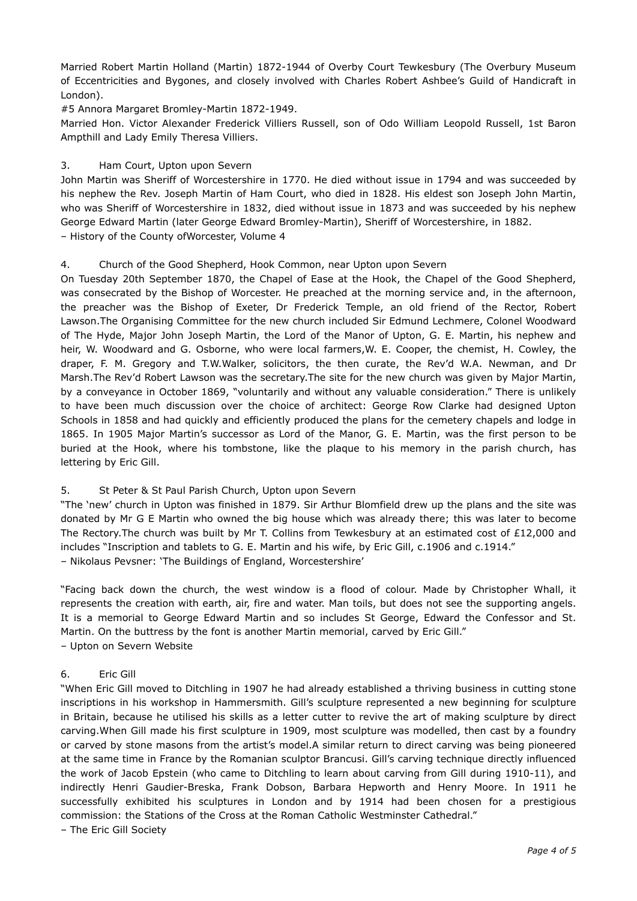Married Robert Martin Holland (Martin) 1872-1944 of Overby Court Tewkesbury (The Overbury Museum of Eccentricities and Bygones, and closely involved with Charles Robert Ashbee's Guild of Handicraft in London).

#5 Annora Margaret Bromley-Martin 1872-1949.

Married Hon. Victor Alexander Frederick Villiers Russell, son of Odo William Leopold Russell, 1st Baron Ampthill and Lady Emily Theresa Villiers.

### 3. Ham Court, Upton upon Severn

John Martin was Sheriff of Worcestershire in 1770. He died without issue in 1794 and was succeeded by his nephew the Rev. Joseph Martin of Ham Court, who died in 1828. His eldest son Joseph John Martin, who was Sheriff of Worcestershire in 1832, died without issue in 1873 and was succeeded by his nephew George Edward Martin (later George Edward Bromley-Martin), Sheriff of Worcestershire, in 1882. – History of the County ofWorcester, Volume 4

### 4. Church of the Good Shepherd, Hook Common, near Upton upon Severn

On Tuesday 20th September 1870, the Chapel of Ease at the Hook, the Chapel of the Good Shepherd, was consecrated by the Bishop of Worcester. He preached at the morning service and, in the afternoon, the preacher was the Bishop of Exeter, Dr Frederick Temple, an old friend of the Rector, Robert Lawson.The Organising Committee for the new church included Sir Edmund Lechmere, Colonel Woodward of The Hyde, Major John Joseph Martin, the Lord of the Manor of Upton, G. E. Martin, his nephew and heir, W. Woodward and G. Osborne, who were local farmers, W. E. Cooper, the chemist, H. Cowley, the draper, F. M. Gregory and T.W.Walker, solicitors, the then curate, the Rev'd W.A. Newman, and Dr Marsh.The Rev'd Robert Lawson was the secretary.The site for the new church was given by Major Martin, by a conveyance in October 1869, "voluntarily and without any valuable consideration." There is unlikely to have been much discussion over the choice of architect: George Row Clarke had designed Upton Schools in 1858 and had quickly and efficiently produced the plans for the cemetery chapels and lodge in 1865. In 1905 Major Martin's successor as Lord of the Manor, G. E. Martin, was the first person to be buried at the Hook, where his tombstone, like the plaque to his memory in the parish church, has lettering by Eric Gill.

# 5. St Peter & St Paul Parish Church, Upton upon Severn

"The 'new' church in Upton was finished in 1879. Sir Arthur Blomfield drew up the plans and the site was donated by Mr G E Martin who owned the big house which was already there; this was later to become The Rectory.The church was built by Mr T. Collins from Tewkesbury at an estimated cost of £12,000 and includes "Inscription and tablets to G. E. Martin and his wife, by Eric Gill, c.1906 and c.1914." – Nikolaus Pevsner: 'The Buildings of England, Worcestershire'

"Facing back down the church, the west window is a flood of colour. Made by Christopher Whall, it represents the creation with earth, air, fire and water. Man toils, but does not see the supporting angels. It is a memorial to George Edward Martin and so includes St George, Edward the Confessor and St. Martin. On the buttress by the font is another Martin memorial, carved by Eric Gill." – Upton on Severn Website

# 6. Eric Gill

"When Eric Gill moved to Ditchling in 1907 he had already established a thriving business in cutting stone inscriptions in his workshop in Hammersmith. Gill's sculpture represented a new beginning for sculpture in Britain, because he utilised his skills as a letter cutter to revive the art of making sculpture by direct carving.When Gill made his first sculpture in 1909, most sculpture was modelled, then cast by a foundry or carved by stone masons from the artist's model.A similar return to direct carving was being pioneered at the same time in France by the Romanian sculptor Brancusi. Gill's carving technique directly influenced the work of Jacob Epstein (who came to Ditchling to learn about carving from Gill during 1910-11), and indirectly Henri Gaudier-Breska, Frank Dobson, Barbara Hepworth and Henry Moore. In 1911 he successfully exhibited his sculptures in London and by 1914 had been chosen for a prestigious commission: the Stations of the Cross at the Roman Catholic Westminster Cathedral."

– The Eric Gill Society